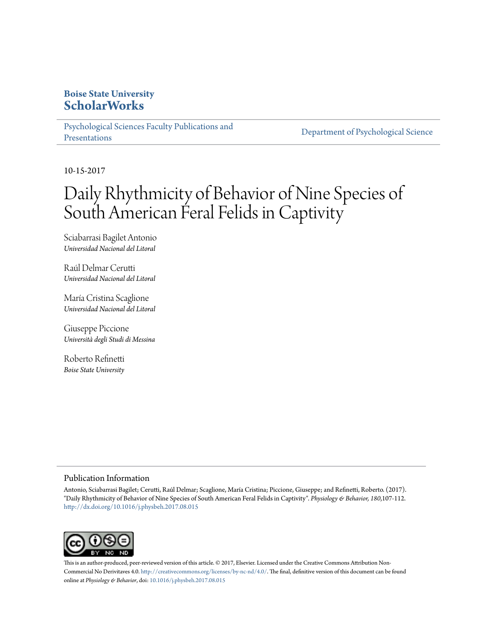# **Boise State University [ScholarWorks](https://scholarworks.boisestate.edu)**

[Psychological Sciences Faculty Publications and](https://scholarworks.boisestate.edu/psych_facpubs) [Presentations](https://scholarworks.boisestate.edu/psych_facpubs)

[Department of Psychological Science](https://scholarworks.boisestate.edu/psych)

10-15-2017

# Daily Rhythmicity of Behavior of Nine Species of South American Feral Felids in Captivity

Sciabarrasi Bagilet Antonio *Universidad Nacional del Litoral*

Raúl Delmar Cerutti *Universidad Nacional del Litoral*

María Cristina Scaglione *Universidad Nacional del Litoral*

Giuseppe Piccione *Università degli Studi di Messina*

Roberto Refinetti *Boise State University*

#### Publication Information

Antonio, Sciabarrasi Bagilet; Cerutti, Raúl Delmar; Scaglione, María Cristina; Piccione, Giuseppe; and Refinetti, Roberto. (2017). "Daily Rhythmicity of Behavior of Nine Species of South American Feral Felids in Captivity". *Physiology & Behavior, 180*,107-112. <http://dx.doi.org/10.1016/j.physbeh.2017.08.015>



This is an author-produced, peer-reviewed version of this article. © 2017, Elsevier. Licensed under the Creative Commons Attribution Non-Commercial No Derivitaves 4.0. [http://creativecommons.org/licenses/by-nc-nd/4.0/.](http://creativecommons.org/licenses/by-nc-nd/4.0/) The final, definitive version of this document can be found online at *Physiology & Behavior*, doi: [10.1016/j.physbeh.2017.08.015](http://dx.doi.org/10.1016/j.physbeh.2017.08.015)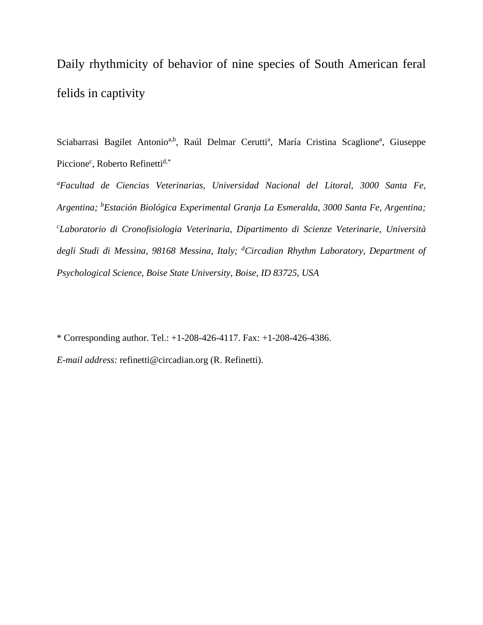Daily rhythmicity of behavior of nine species of South American feral felids in captivity

Sciabarrasi Bagilet Antonio<sup>a,b</sup>, Raúl Delmar Cerutti<sup>a</sup>, María Cristina Scaglione<sup>a</sup>, Giuseppe Piccione<sup>c</sup>, Roberto Refinetti<sup>d,\*</sup>

*a Facultad de Ciencias Veterinarias, Universidad Nacional del Litoral, 3000 Santa Fe, Argentina; <sup>b</sup> Estación Biológica Experimental Granja La Esmeralda, 3000 Santa Fe, Argentina; c Laboratorio di Cronofisiologia Veterinaria, Dipartimento di Scienze Veterinarie, Università degli Studi di Messina, 98168 Messina, Italy; <sup>d</sup> Circadian Rhythm Laboratory, Department of Psychological Science, Boise State University, Boise, ID 83725, USA*

\* Corresponding author. Tel.: +1-208-426-4117. Fax: +1-208-426-4386.

*E-mail address:* refinetti@circadian.org (R. Refinetti).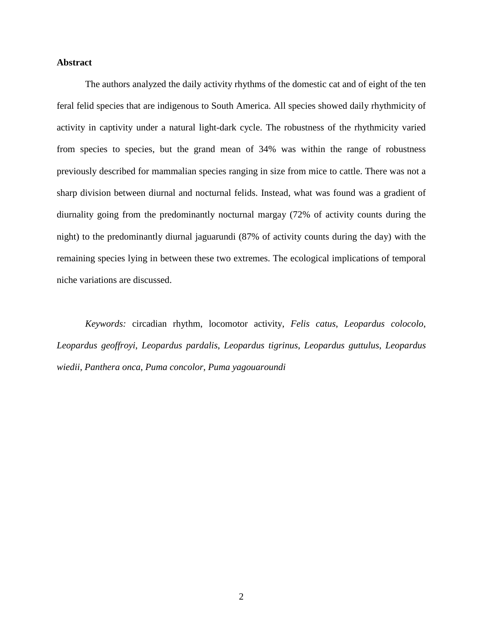# **Abstract**

The authors analyzed the daily activity rhythms of the domestic cat and of eight of the ten feral felid species that are indigenous to South America. All species showed daily rhythmicity of activity in captivity under a natural light-dark cycle. The robustness of the rhythmicity varied from species to species, but the grand mean of 34% was within the range of robustness previously described for mammalian species ranging in size from mice to cattle. There was not a sharp division between diurnal and nocturnal felids. Instead, what was found was a gradient of diurnality going from the predominantly nocturnal margay (72% of activity counts during the night) to the predominantly diurnal jaguarundi (87% of activity counts during the day) with the remaining species lying in between these two extremes. The ecological implications of temporal niche variations are discussed.

*Keywords:* circadian rhythm, locomotor activity, *Felis catus*, *Leopardus colocolo*, *Leopardus geoffroyi*, *Leopardus pardalis*, *Leopardus tigrinus*, *Leopardus guttulus*, *Leopardus wiedii*, *Panthera onca*, *Puma concolor*, *Puma yagouaroundi*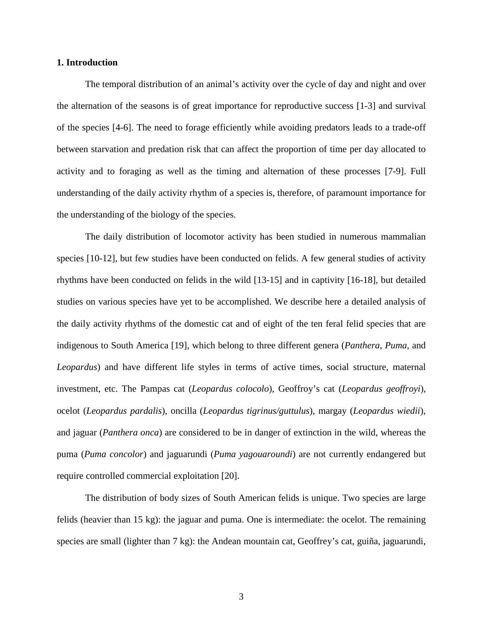#### **1. Introduction**

The temporal distribution of an animal's activity over the cycle of day and night and over the alternation of the seasons is of great importance for reproductive success [1-3] and survival of the species [4-6]. The need to forage efficiently while avoiding predators leads to a trade-off between starvation and predation risk that can affect the proportion of time per day allocated to activity and to foraging as well as the timing and alternation of these processes [7-9]. Full understanding of the daily activity rhythm of a species is, therefore, of paramount importance for the understanding of the biology of the species.

The daily distribution of locomotor activity has been studied in numerous mammalian species [10-12], but few studies have been conducted on felids. A few general studies of activity rhythms have been conducted on felids in the wild [13-15] and in captivity [16-18], but detailed studies on various species have yet to be accomplished. We describe here a detailed analysis of the daily activity rhythms of the domestic cat and of eight of the ten feral felid species that are indigenous to South America [19], which belong to three different genera (*Panthera*, *Puma*, and *Leopardus*) and have different life styles in terms of active times, social structure, maternal investment, etc. The Pampas cat (*Leopardus colocolo*), Geoffroy's cat (*Leopardus geoffroyi*), ocelot (*Leopardus pardalis*), oncilla (*Leopardus tigrinus/guttulus*), margay (*Leopardus wiedii*), and jaguar (*Panthera onca*) are considered to be in danger of extinction in the wild, whereas the puma (*Puma concolor*) and jaguarundi (*Puma yagouaroundi*) are not currently endangered but require controlled commercial exploitation [20].

The distribution of body sizes of South American felids is unique. Two species are large felids (heavier than 15 kg): the jaguar and puma. One is intermediate: the ocelot. The remaining species are small (lighter than 7 kg): the Andean mountain cat, Geoffrey's cat, guiña, jaguarundi,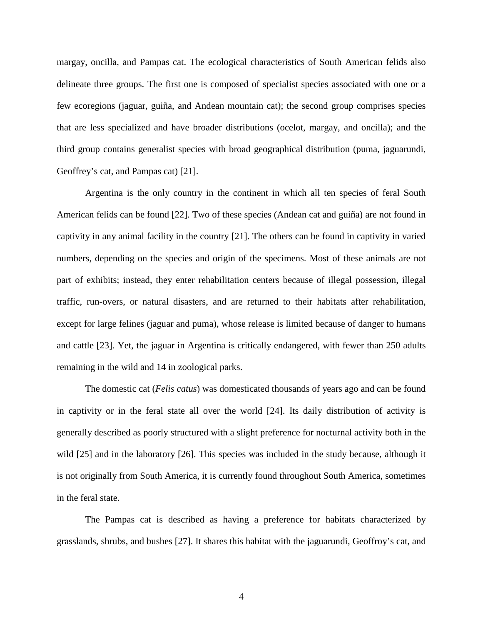margay, oncilla, and Pampas cat. The ecological characteristics of South American felids also delineate three groups. The first one is composed of specialist species associated with one or a few ecoregions (jaguar, guiña, and Andean mountain cat); the second group comprises species that are less specialized and have broader distributions (ocelot, margay, and oncilla); and the third group contains generalist species with broad geographical distribution (puma, jaguarundi, Geoffrey's cat, and Pampas cat) [21].

Argentina is the only country in the continent in which all ten species of feral South American felids can be found [22]. Two of these species (Andean cat and guiña) are not found in captivity in any animal facility in the country [21]. The others can be found in captivity in varied numbers, depending on the species and origin of the specimens. Most of these animals are not part of exhibits; instead, they enter rehabilitation centers because of illegal possession, illegal traffic, run-overs, or natural disasters, and are returned to their habitats after rehabilitation, except for large felines (jaguar and puma), whose release is limited because of danger to humans and cattle [23]. Yet, the jaguar in Argentina is critically endangered, with fewer than 250 adults remaining in the wild and 14 in zoological parks.

The domestic cat (*Felis catus*) was domesticated thousands of years ago and can be found in captivity or in the feral state all over the world [24]. Its daily distribution of activity is generally described as poorly structured with a slight preference for nocturnal activity both in the wild [25] and in the laboratory [26]. This species was included in the study because, although it is not originally from South America, it is currently found throughout South America, sometimes in the feral state.

The Pampas cat is described as having a preference for habitats characterized by grasslands, shrubs, and bushes [27]. It shares this habitat with the jaguarundi, Geoffroy's cat, and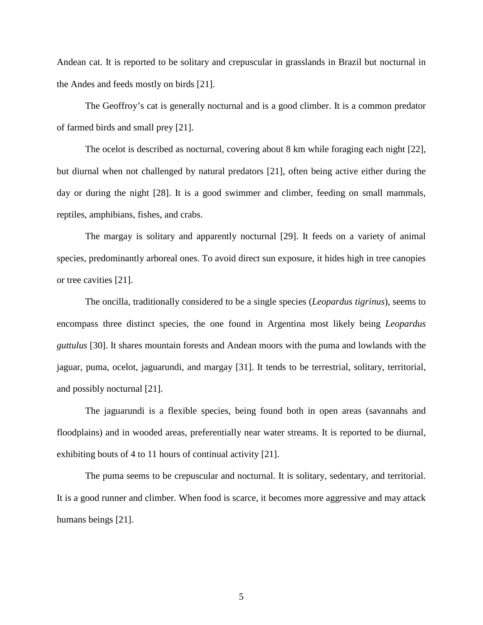Andean cat. It is reported to be solitary and crepuscular in grasslands in Brazil but nocturnal in the Andes and feeds mostly on birds [21].

The Geoffroy's cat is generally nocturnal and is a good climber. It is a common predator of farmed birds and small prey [21].

The ocelot is described as nocturnal, covering about 8 km while foraging each night [22], but diurnal when not challenged by natural predators [21], often being active either during the day or during the night [28]. It is a good swimmer and climber, feeding on small mammals, reptiles, amphibians, fishes, and crabs.

The margay is solitary and apparently nocturnal [29]. It feeds on a variety of animal species, predominantly arboreal ones. To avoid direct sun exposure, it hides high in tree canopies or tree cavities [21].

The oncilla, traditionally considered to be a single species (*Leopardus tigrinus*), seems to encompass three distinct species, the one found in Argentina most likely being *Leopardus guttulus* [30]. It shares mountain forests and Andean moors with the puma and lowlands with the jaguar, puma, ocelot, jaguarundi, and margay [31]. It tends to be terrestrial, solitary, territorial, and possibly nocturnal [21].

The jaguarundi is a flexible species, being found both in open areas (savannahs and floodplains) and in wooded areas, preferentially near water streams. It is reported to be diurnal, exhibiting bouts of 4 to 11 hours of continual activity [21].

The puma seems to be crepuscular and nocturnal. It is solitary, sedentary, and territorial. It is a good runner and climber. When food is scarce, it becomes more aggressive and may attack humans beings [21].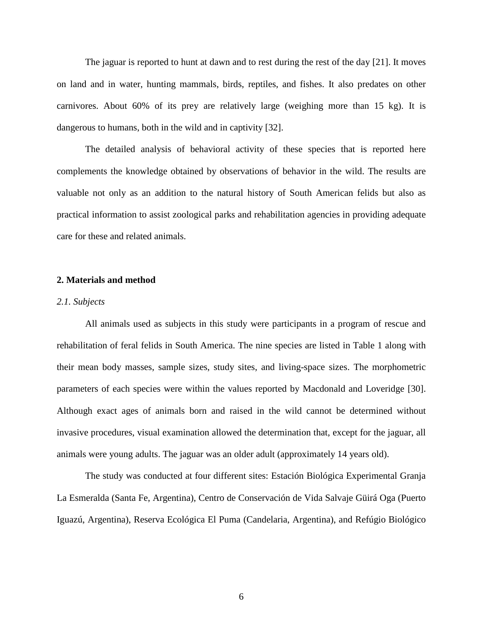The jaguar is reported to hunt at dawn and to rest during the rest of the day [21]. It moves on land and in water, hunting mammals, birds, reptiles, and fishes. It also predates on other carnivores. About 60% of its prey are relatively large (weighing more than 15 kg). It is dangerous to humans, both in the wild and in captivity [32].

The detailed analysis of behavioral activity of these species that is reported here complements the knowledge obtained by observations of behavior in the wild. The results are valuable not only as an addition to the natural history of South American felids but also as practical information to assist zoological parks and rehabilitation agencies in providing adequate care for these and related animals.

#### **2. Materials and method**

#### *2.1. Subjects*

All animals used as subjects in this study were participants in a program of rescue and rehabilitation of feral felids in South America. The nine species are listed in Table 1 along with their mean body masses, sample sizes, study sites, and living-space sizes. The morphometric parameters of each species were within the values reported by Macdonald and Loveridge [30]. Although exact ages of animals born and raised in the wild cannot be determined without invasive procedures, visual examination allowed the determination that, except for the jaguar, all animals were young adults. The jaguar was an older adult (approximately 14 years old).

The study was conducted at four different sites: Estación Biológica Experimental Granja La Esmeralda (Santa Fe, Argentina), Centro de Conservación de Vida Salvaje Güirá Oga (Puerto Iguazú, Argentina), Reserva Ecológica El Puma (Candelaria, Argentina), and Refúgio Biológico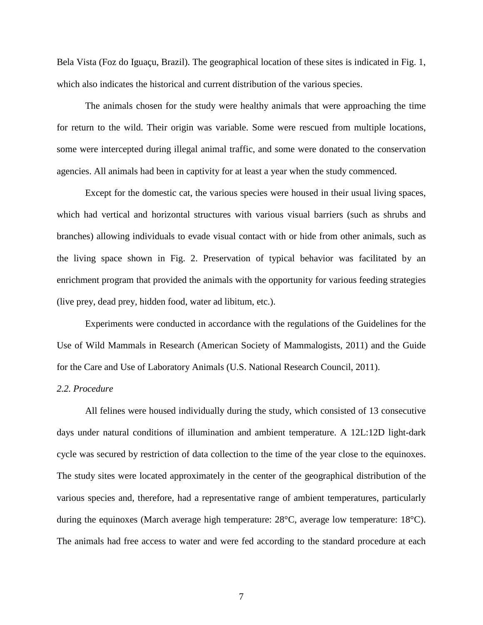Bela Vista (Foz do Iguaçu, Brazil). The geographical location of these sites is indicated in Fig. 1, which also indicates the historical and current distribution of the various species.

The animals chosen for the study were healthy animals that were approaching the time for return to the wild. Their origin was variable. Some were rescued from multiple locations, some were intercepted during illegal animal traffic, and some were donated to the conservation agencies. All animals had been in captivity for at least a year when the study commenced.

Except for the domestic cat, the various species were housed in their usual living spaces, which had vertical and horizontal structures with various visual barriers (such as shrubs and branches) allowing individuals to evade visual contact with or hide from other animals, such as the living space shown in Fig. 2. Preservation of typical behavior was facilitated by an enrichment program that provided the animals with the opportunity for various feeding strategies (live prey, dead prey, hidden food, water ad libitum, etc.).

Experiments were conducted in accordance with the regulations of the Guidelines for the Use of Wild Mammals in Research (American Society of Mammalogists, 2011) and the Guide for the Care and Use of Laboratory Animals (U.S. National Research Council, 2011).

# *2.2. Procedure*

All felines were housed individually during the study, which consisted of 13 consecutive days under natural conditions of illumination and ambient temperature. A 12L:12D light-dark cycle was secured by restriction of data collection to the time of the year close to the equinoxes. The study sites were located approximately in the center of the geographical distribution of the various species and, therefore, had a representative range of ambient temperatures, particularly during the equinoxes (March average high temperature: 28°C, average low temperature: 18°C). The animals had free access to water and were fed according to the standard procedure at each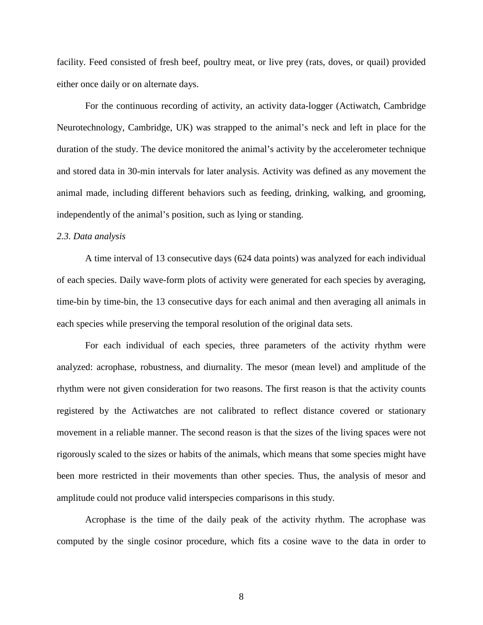facility. Feed consisted of fresh beef, poultry meat, or live prey (rats, doves, or quail) provided either once daily or on alternate days.

For the continuous recording of activity, an activity data-logger (Actiwatch, Cambridge Neurotechnology, Cambridge, UK) was strapped to the animal's neck and left in place for the duration of the study. The device monitored the animal's activity by the accelerometer technique and stored data in 30-min intervals for later analysis. Activity was defined as any movement the animal made, including different behaviors such as feeding, drinking, walking, and grooming, independently of the animal's position, such as lying or standing.

#### *2.3. Data analysis*

A time interval of 13 consecutive days (624 data points) was analyzed for each individual of each species. Daily wave-form plots of activity were generated for each species by averaging, time-bin by time-bin, the 13 consecutive days for each animal and then averaging all animals in each species while preserving the temporal resolution of the original data sets.

For each individual of each species, three parameters of the activity rhythm were analyzed: acrophase, robustness, and diurnality. The mesor (mean level) and amplitude of the rhythm were not given consideration for two reasons. The first reason is that the activity counts registered by the Actiwatches are not calibrated to reflect distance covered or stationary movement in a reliable manner. The second reason is that the sizes of the living spaces were not rigorously scaled to the sizes or habits of the animals, which means that some species might have been more restricted in their movements than other species. Thus, the analysis of mesor and amplitude could not produce valid interspecies comparisons in this study.

Acrophase is the time of the daily peak of the activity rhythm. The acrophase was computed by the single cosinor procedure, which fits a cosine wave to the data in order to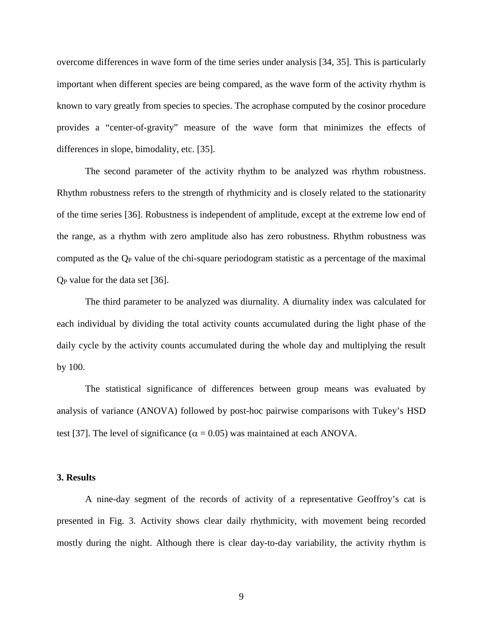overcome differences in wave form of the time series under analysis [34, 35]. This is particularly important when different species are being compared, as the wave form of the activity rhythm is known to vary greatly from species to species. The acrophase computed by the cosinor procedure provides a "center-of-gravity" measure of the wave form that minimizes the effects of differences in slope, bimodality, etc. [35].

The second parameter of the activity rhythm to be analyzed was rhythm robustness. Rhythm robustness refers to the strength of rhythmicity and is closely related to the stationarity of the time series [36]. Robustness is independent of amplitude, except at the extreme low end of the range, as a rhythm with zero amplitude also has zero robustness. Rhythm robustness was computed as the  $Q_P$  value of the chi-square periodogram statistic as a percentage of the maximal QP value for the data set [36].

The third parameter to be analyzed was diurnality. A diurnality index was calculated for each individual by dividing the total activity counts accumulated during the light phase of the daily cycle by the activity counts accumulated during the whole day and multiplying the result by 100.

The statistical significance of differences between group means was evaluated by analysis of variance (ANOVA) followed by post-hoc pairwise comparisons with Tukey's HSD test [37]. The level of significance ( $\alpha = 0.05$ ) was maintained at each ANOVA.

# **3. Results**

A nine-day segment of the records of activity of a representative Geoffroy's cat is presented in Fig. 3. Activity shows clear daily rhythmicity, with movement being recorded mostly during the night. Although there is clear day-to-day variability, the activity rhythm is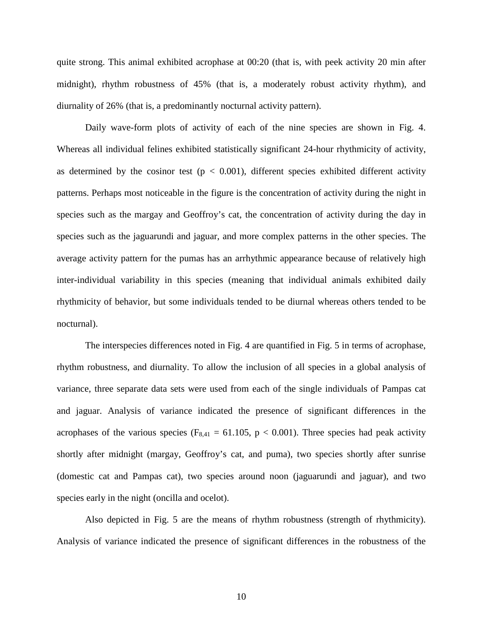quite strong. This animal exhibited acrophase at 00:20 (that is, with peek activity 20 min after midnight), rhythm robustness of 45% (that is, a moderately robust activity rhythm), and diurnality of 26% (that is, a predominantly nocturnal activity pattern).

Daily wave-form plots of activity of each of the nine species are shown in Fig. 4. Whereas all individual felines exhibited statistically significant 24-hour rhythmicity of activity, as determined by the cosinor test ( $p < 0.001$ ), different species exhibited different activity patterns. Perhaps most noticeable in the figure is the concentration of activity during the night in species such as the margay and Geoffroy's cat, the concentration of activity during the day in species such as the jaguarundi and jaguar, and more complex patterns in the other species. The average activity pattern for the pumas has an arrhythmic appearance because of relatively high inter-individual variability in this species (meaning that individual animals exhibited daily rhythmicity of behavior, but some individuals tended to be diurnal whereas others tended to be nocturnal).

The interspecies differences noted in Fig. 4 are quantified in Fig. 5 in terms of acrophase, rhythm robustness, and diurnality. To allow the inclusion of all species in a global analysis of variance, three separate data sets were used from each of the single individuals of Pampas cat and jaguar. Analysis of variance indicated the presence of significant differences in the acrophases of the various species ( $F_{8,41} = 61.105$ ,  $p < 0.001$ ). Three species had peak activity shortly after midnight (margay, Geoffroy's cat, and puma), two species shortly after sunrise (domestic cat and Pampas cat), two species around noon (jaguarundi and jaguar), and two species early in the night (oncilla and ocelot).

Also depicted in Fig. 5 are the means of rhythm robustness (strength of rhythmicity). Analysis of variance indicated the presence of significant differences in the robustness of the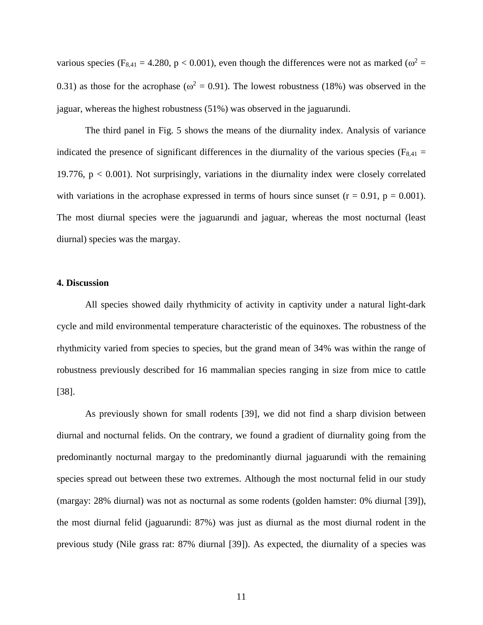various species (F<sub>8,41</sub> = 4.280, p < 0.001), even though the differences were not as marked ( $\omega^2$  = 0.31) as those for the acrophase ( $\omega^2 = 0.91$ ). The lowest robustness (18%) was observed in the jaguar, whereas the highest robustness (51%) was observed in the jaguarundi.

The third panel in Fig. 5 shows the means of the diurnality index. Analysis of variance indicated the presence of significant differences in the diurnality of the various species ( $F_{8,41}$  = 19.776,  $p < 0.001$ ). Not surprisingly, variations in the diurnality index were closely correlated with variations in the acrophase expressed in terms of hours since sunset  $(r = 0.91, p = 0.001)$ . The most diurnal species were the jaguarundi and jaguar, whereas the most nocturnal (least diurnal) species was the margay.

#### **4. Discussion**

All species showed daily rhythmicity of activity in captivity under a natural light-dark cycle and mild environmental temperature characteristic of the equinoxes. The robustness of the rhythmicity varied from species to species, but the grand mean of 34% was within the range of robustness previously described for 16 mammalian species ranging in size from mice to cattle [38].

As previously shown for small rodents [39], we did not find a sharp division between diurnal and nocturnal felids. On the contrary, we found a gradient of diurnality going from the predominantly nocturnal margay to the predominantly diurnal jaguarundi with the remaining species spread out between these two extremes. Although the most nocturnal felid in our study (margay: 28% diurnal) was not as nocturnal as some rodents (golden hamster: 0% diurnal [39]), the most diurnal felid (jaguarundi: 87%) was just as diurnal as the most diurnal rodent in the previous study (Nile grass rat: 87% diurnal [39]). As expected, the diurnality of a species was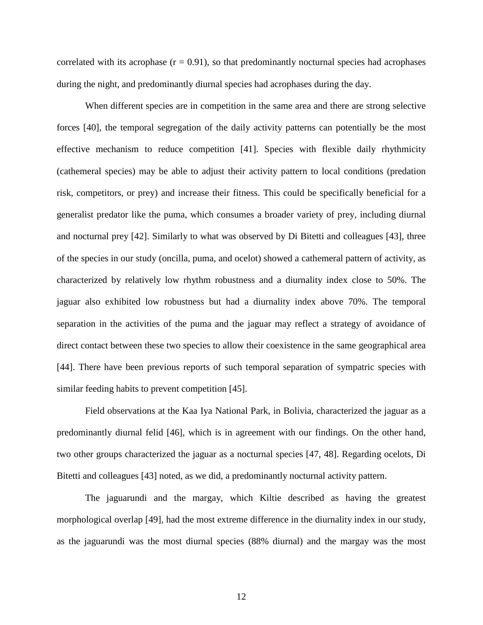correlated with its acrophase  $(r = 0.91)$ , so that predominantly nocturnal species had acrophases during the night, and predominantly diurnal species had acrophases during the day.

When different species are in competition in the same area and there are strong selective forces [40], the temporal segregation of the daily activity patterns can potentially be the most effective mechanism to reduce competition [41]. Species with flexible daily rhythmicity (cathemeral species) may be able to adjust their activity pattern to local conditions (predation risk, competitors, or prey) and increase their fitness. This could be specifically beneficial for a generalist predator like the puma, which consumes a broader variety of prey, including diurnal and nocturnal prey [42]. Similarly to what was observed by Di Bitetti and colleagues [43], three of the species in our study (oncilla, puma, and ocelot) showed a cathemeral pattern of activity, as characterized by relatively low rhythm robustness and a diurnality index close to 50%. The jaguar also exhibited low robustness but had a diurnality index above 70%. The temporal separation in the activities of the puma and the jaguar may reflect a strategy of avoidance of direct contact between these two species to allow their coexistence in the same geographical area [44]. There have been previous reports of such temporal separation of sympatric species with similar feeding habits to prevent competition [45].

Field observations at the Kaa Iya National Park, in Bolivia, characterized the jaguar as a predominantly diurnal felid [46], which is in agreement with our findings. On the other hand, two other groups characterized the jaguar as a nocturnal species [47, 48]. Regarding ocelots, Di Bitetti and colleagues [43] noted, as we did, a predominantly nocturnal activity pattern.

The jaguarundi and the margay, which Kiltie described as having the greatest morphological overlap [49], had the most extreme difference in the diurnality index in our study, as the jaguarundi was the most diurnal species (88% diurnal) and the margay was the most

12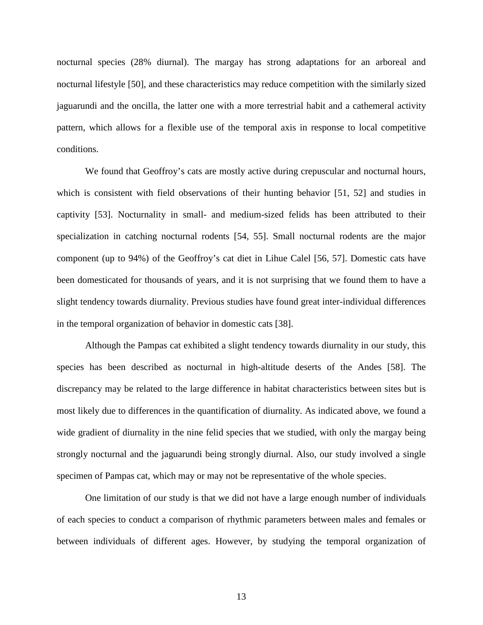nocturnal species (28% diurnal). The margay has strong adaptations for an arboreal and nocturnal lifestyle [50], and these characteristics may reduce competition with the similarly sized jaguarundi and the oncilla, the latter one with a more terrestrial habit and a cathemeral activity pattern, which allows for a flexible use of the temporal axis in response to local competitive conditions.

We found that Geoffroy's cats are mostly active during crepuscular and nocturnal hours, which is consistent with field observations of their hunting behavior [51, 52] and studies in captivity [53]. Nocturnality in small- and medium-sized felids has been attributed to their specialization in catching nocturnal rodents [54, 55]. Small nocturnal rodents are the major component (up to 94%) of the Geoffroy's cat diet in Lihue Calel [56, 57]. Domestic cats have been domesticated for thousands of years, and it is not surprising that we found them to have a slight tendency towards diurnality. Previous studies have found great inter-individual differences in the temporal organization of behavior in domestic cats [38].

Although the Pampas cat exhibited a slight tendency towards diurnality in our study, this species has been described as nocturnal in high-altitude deserts of the Andes [58]. The discrepancy may be related to the large difference in habitat characteristics between sites but is most likely due to differences in the quantification of diurnality. As indicated above, we found a wide gradient of diurnality in the nine felid species that we studied, with only the margay being strongly nocturnal and the jaguarundi being strongly diurnal. Also, our study involved a single specimen of Pampas cat, which may or may not be representative of the whole species.

One limitation of our study is that we did not have a large enough number of individuals of each species to conduct a comparison of rhythmic parameters between males and females or between individuals of different ages. However, by studying the temporal organization of

13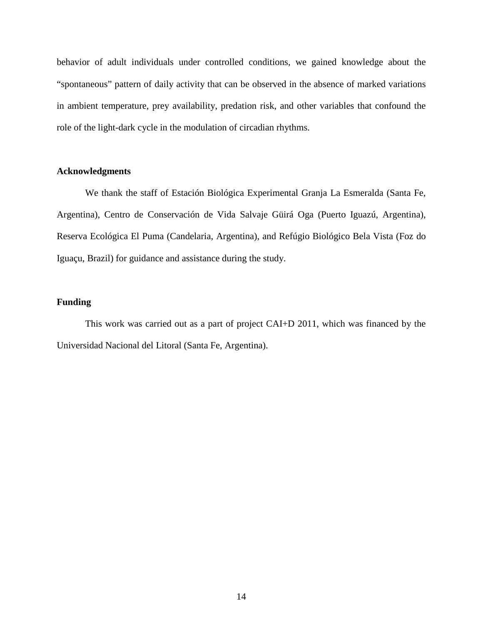behavior of adult individuals under controlled conditions, we gained knowledge about the "spontaneous" pattern of daily activity that can be observed in the absence of marked variations in ambient temperature, prey availability, predation risk, and other variables that confound the role of the light-dark cycle in the modulation of circadian rhythms.

# **Acknowledgments**

We thank the staff of Estación Biológica Experimental Granja La Esmeralda (Santa Fe, Argentina), Centro de Conservación de Vida Salvaje Güirá Oga (Puerto Iguazú, Argentina), Reserva Ecológica El Puma (Candelaria, Argentina), and Refúgio Biológico Bela Vista (Foz do Iguaçu, Brazil) for guidance and assistance during the study.

# **Funding**

This work was carried out as a part of project CAI+D 2011, which was financed by the Universidad Nacional del Litoral (Santa Fe, Argentina).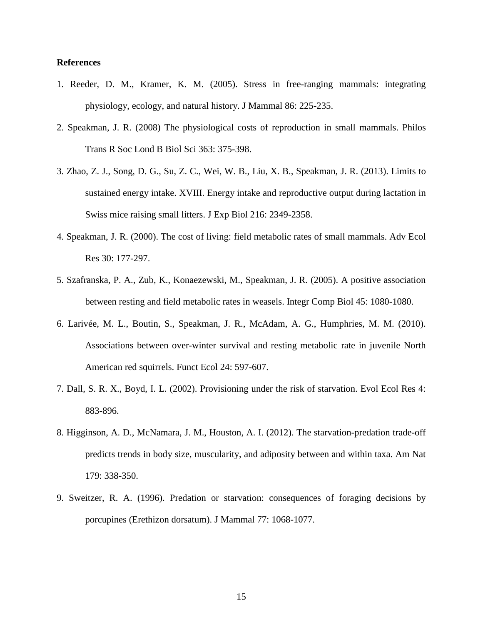# **References**

- 1. Reeder, D. M., Kramer, K. M. (2005). Stress in free-ranging mammals: integrating physiology, ecology, and natural history. J Mammal 86: 225-235.
- 2. Speakman, J. R. (2008) The physiological costs of reproduction in small mammals. Philos Trans R Soc Lond B Biol Sci 363: 375-398.
- 3. Zhao, Z. J., Song, D. G., Su, Z. C., Wei, W. B., Liu, X. B., Speakman, J. R. (2013). Limits to sustained energy intake. XVIII. Energy intake and reproductive output during lactation in Swiss mice raising small litters. J Exp Biol 216: 2349-2358.
- 4. Speakman, J. R. (2000). The cost of living: field metabolic rates of small mammals. Adv Ecol Res 30: 177-297.
- 5. Szafranska, P. A., Zub, K., Konaezewski, M., Speakman, J. R. (2005). A positive association between resting and field metabolic rates in weasels. Integr Comp Biol 45: 1080-1080.
- 6. Larivée, M. L., Boutin, S., Speakman, J. R., McAdam, A. G., Humphries, M. M. (2010). Associations between over-winter survival and resting metabolic rate in juvenile North American red squirrels. Funct Ecol 24: 597-607.
- 7. Dall, S. R. X., Boyd, I. L. (2002). Provisioning under the risk of starvation. Evol Ecol Res 4: 883-896.
- 8. Higginson, A. D., McNamara, J. M., Houston, A. I. (2012). The starvation-predation trade-off predicts trends in body size, muscularity, and adiposity between and within taxa. Am Nat 179: 338-350.
- 9. Sweitzer, R. A. (1996). Predation or starvation: consequences of foraging decisions by porcupines (Erethizon dorsatum). J Mammal 77: 1068-1077.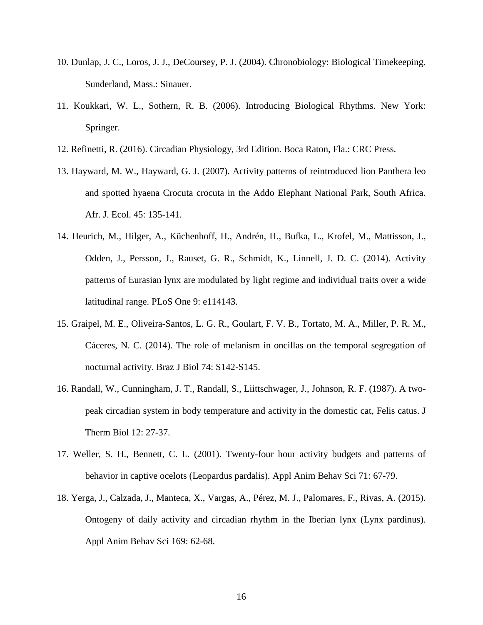- 10. Dunlap, J. C., Loros, J. J., DeCoursey, P. J. (2004). Chronobiology: Biological Timekeeping. Sunderland, Mass.: Sinauer.
- 11. Koukkari, W. L., Sothern, R. B. (2006). Introducing Biological Rhythms. New York: Springer.
- 12. Refinetti, R. (2016). Circadian Physiology, 3rd Edition. Boca Raton, Fla.: CRC Press.
- 13. Hayward, M. W., Hayward, G. J. (2007). Activity patterns of reintroduced lion Panthera leo and spotted hyaena Crocuta crocuta in the Addo Elephant National Park, South Africa. Afr. J. Ecol. 45: 135-141.
- 14. Heurich, M., Hilger, A., Küchenhoff, H., Andrén, H., Bufka, L., Krofel, M., Mattisson, J., Odden, J., Persson, J., Rauset, G. R., Schmidt, K., Linnell, J. D. C. (2014). Activity patterns of Eurasian lynx are modulated by light regime and individual traits over a wide latitudinal range. PLoS One 9: e114143.
- 15. Graipel, M. E., Oliveira-Santos, L. G. R., Goulart, F. V. B., Tortato, M. A., Miller, P. R. M., Cáceres, N. C. (2014). The role of melanism in oncillas on the temporal segregation of nocturnal activity. Braz J Biol 74: S142-S145.
- 16. Randall, W., Cunningham, J. T., Randall, S., Liittschwager, J., Johnson, R. F. (1987). A twopeak circadian system in body temperature and activity in the domestic cat, Felis catus. J Therm Biol 12: 27-37.
- 17. Weller, S. H., Bennett, C. L. (2001). Twenty-four hour activity budgets and patterns of behavior in captive ocelots (Leopardus pardalis). Appl Anim Behav Sci 71: 67-79.
- 18. Yerga, J., Calzada, J., Manteca, X., Vargas, A., Pérez, M. J., Palomares, F., Rivas, A. (2015). Ontogeny of daily activity and circadian rhythm in the Iberian lynx (Lynx pardinus). Appl Anim Behav Sci 169: 62-68.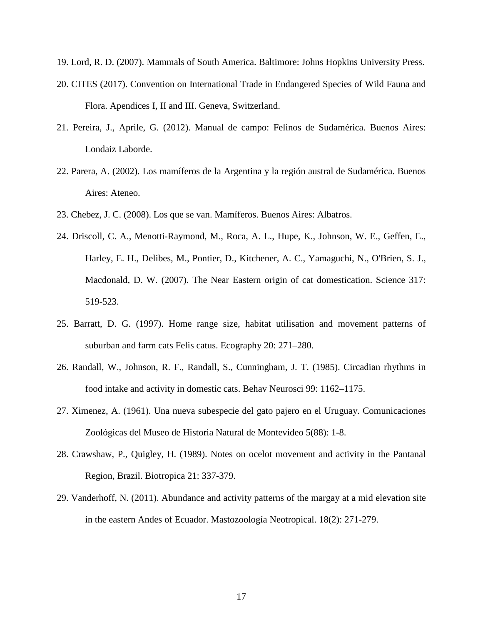19. Lord, R. D. (2007). Mammals of South America. Baltimore: Johns Hopkins University Press.

- 20. CITES (2017). Convention on International Trade in Endangered Species of Wild Fauna and Flora. Apendices I, II and III. Geneva, Switzerland.
- 21. Pereira, J., Aprile, G. (2012). Manual de campo: Felinos de Sudamérica. Buenos Aires: Londaiz Laborde.
- 22. Parera, A. (2002). Los mamíferos de la Argentina y la región austral de Sudamérica. Buenos Aires: Ateneo.
- 23. Chebez, J. C. (2008). Los que se van. Mamíferos. Buenos Aires: Albatros.
- 24. Driscoll, C. A., Menotti-Raymond, M., Roca, A. L., Hupe, K., Johnson, W. E., Geffen, E., Harley, E. H., Delibes, M., Pontier, D., Kitchener, A. C., Yamaguchi, N., O'Brien, S. J., Macdonald, D. W. (2007). The Near Eastern origin of cat domestication. Science 317: 519-523.
- 25. Barratt, D. G. (1997). Home range size, habitat utilisation and movement patterns of suburban and farm cats Felis catus. Ecography 20: 271–280.
- 26. Randall, W., Johnson, R. F., Randall, S., Cunningham, J. T. (1985). Circadian rhythms in food intake and activity in domestic cats. Behav Neurosci 99: 1162–1175.
- 27. Ximenez, A. (1961). Una nueva subespecie del gato pajero en el Uruguay. Comunicaciones Zoológicas del Museo de Historia Natural de Montevideo 5(88): 1-8.
- 28. Crawshaw, P., Quigley, H. (1989). Notes on ocelot movement and activity in the Pantanal Region, Brazil. Biotropica 21: 337-379.
- 29. Vanderhoff, N. (2011). Abundance and activity patterns of the margay at a mid elevation site in the eastern Andes of Ecuador. Mastozoología Neotropical. 18(2): 271-279.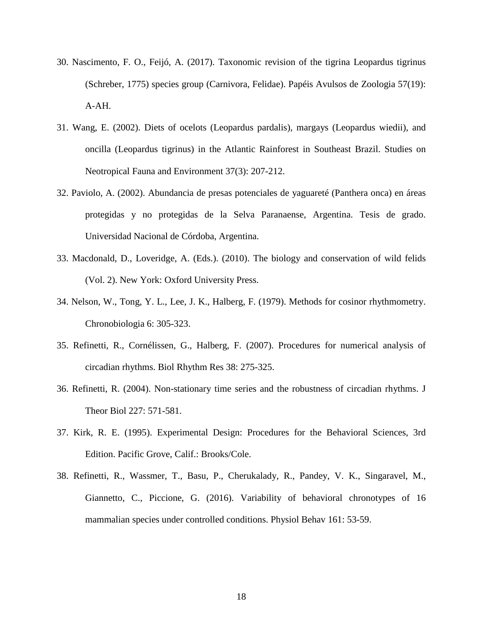- 30. Nascimento, F. O., Feijó, A. (2017). Taxonomic revision of the tigrina Leopardus tigrinus (Schreber, 1775) species group (Carnivora, Felidae). Papéis Avulsos de Zoologia 57(19): A-AH.
- 31. Wang, E. (2002). Diets of ocelots (Leopardus pardalis), margays (Leopardus wiedii), and oncilla (Leopardus tigrinus) in the Atlantic Rainforest in Southeast Brazil. Studies on Neotropical Fauna and Environment 37(3): 207-212.
- 32. Paviolo, A. (2002). Abundancia de presas potenciales de yaguareté (Panthera onca) en áreas protegidas y no protegidas de la Selva Paranaense, Argentina. Tesis de grado. Universidad Nacional de Córdoba, Argentina.
- 33. Macdonald, D., Loveridge, A. (Eds.). (2010). The biology and conservation of wild felids (Vol. 2). New York: Oxford University Press.
- 34. Nelson, W., Tong, Y. L., Lee, J. K., Halberg, F. (1979). Methods for cosinor rhythmometry. Chronobiologia 6: 305-323.
- 35. Refinetti, R., Cornélissen, G., Halberg, F. (2007). Procedures for numerical analysis of circadian rhythms. Biol Rhythm Res 38: 275-325.
- 36. Refinetti, R. (2004). Non-stationary time series and the robustness of circadian rhythms. J Theor Biol 227: 571-581.
- 37. Kirk, R. E. (1995). Experimental Design: Procedures for the Behavioral Sciences, 3rd Edition. Pacific Grove, Calif.: Brooks/Cole.
- 38. Refinetti, R., Wassmer, T., Basu, P., Cherukalady, R., Pandey, V. K., Singaravel, M., Giannetto, C., Piccione, G. (2016). Variability of behavioral chronotypes of 16 mammalian species under controlled conditions. Physiol Behav 161: 53-59.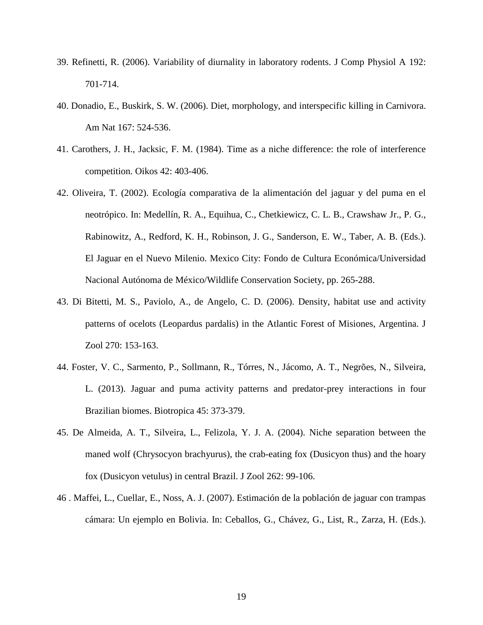- 39. Refinetti, R. (2006). Variability of diurnality in laboratory rodents. J Comp Physiol A 192: 701-714.
- 40. Donadio, E., Buskirk, S. W. (2006). Diet, morphology, and interspecific killing in Carnivora. Am Nat 167: 524-536.
- 41. Carothers, J. H., Jacksic, F. M. (1984). Time as a niche difference: the role of interference competition. Oikos 42: 403-406.
- 42. Oliveira, T. (2002). Ecología comparativa de la alimentación del jaguar y del puma en el neotrópico. In: Medellín, R. A., Equihua, C., Chetkiewicz, C. L. B., Crawshaw Jr., P. G., Rabinowitz, A., Redford, K. H., Robinson, J. G., Sanderson, E. W., Taber, A. B. (Eds.). El Jaguar en el Nuevo Milenio. Mexico City: Fondo de Cultura Económica/Universidad Nacional Autónoma de México/Wildlife Conservation Society, pp. 265-288.
- 43. Di Bitetti, M. S., Paviolo, A., de Angelo, C. D. (2006). Density, habitat use and activity patterns of ocelots (Leopardus pardalis) in the Atlantic Forest of Misiones, Argentina. J Zool 270: 153-163.
- 44. Foster, V. C., Sarmento, P., Sollmann, R., Tórres, N., Jácomo, A. T., Negrões, N., Silveira, L. (2013). Jaguar and puma activity patterns and predator-prey interactions in four Brazilian biomes. Biotropica 45: 373-379.
- 45. De Almeida, A. T., Silveira, L., Felizola, Y. J. A. (2004). Niche separation between the maned wolf (Chrysocyon brachyurus), the crab-eating fox (Dusicyon thus) and the hoary fox (Dusicyon vetulus) in central Brazil. J Zool 262: 99-106.
- 46 . Maffei, L., Cuellar, E., Noss, A. J. (2007). Estimación de la población de jaguar con trampas cámara: Un ejemplo en Bolivia. In: Ceballos, G., Chávez, G., List, R., Zarza, H. (Eds.).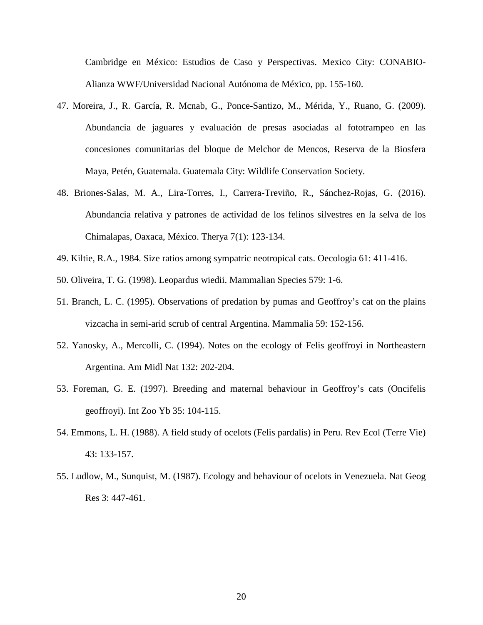Cambridge en México: Estudios de Caso y Perspectivas. Mexico City: CONABIO-Alianza WWF/Universidad Nacional Autónoma de México, pp. 155-160.

- 47. Moreira, J., R. García, R. Mcnab, G., Ponce-Santizo, M., Mérida, Y., Ruano, G. (2009). Abundancia de jaguares y evaluación de presas asociadas al fototrampeo en las concesiones comunitarias del bloque de Melchor de Mencos, Reserva de la Biosfera Maya, Petén, Guatemala. Guatemala City: Wildlife Conservation Society.
- 48. Briones-Salas, M. A., Lira-Torres, I., Carrera-Treviño, R., Sánchez-Rojas, G. (2016). Abundancia relativa y patrones de actividad de los felinos silvestres en la selva de los Chimalapas, Oaxaca, México. Therya 7(1): 123-134.
- 49. Kiltie, R.A., 1984. Size ratios among sympatric neotropical cats. Oecologia 61: 411-416.
- 50. Oliveira, T. G. (1998). Leopardus wiedii. Mammalian Species 579: 1-6.
- 51. Branch, L. C. (1995). Observations of predation by pumas and Geoffroy's cat on the plains vizcacha in semi-arid scrub of central Argentina. Mammalia 59: 152-156.
- 52. Yanosky, A., Mercolli, C. (1994). Notes on the ecology of Felis geoffroyi in Northeastern Argentina. Am Midl Nat 132: 202-204.
- 53. Foreman, G. E. (1997). Breeding and maternal behaviour in Geoffroy's cats (Oncifelis geoffroyi). Int Zoo Yb 35: 104-115.
- 54. Emmons, L. H. (1988). A field study of ocelots (Felis pardalis) in Peru. Rev Ecol (Terre Vie) 43: 133-157.
- 55. Ludlow, M., Sunquist, M. (1987). Ecology and behaviour of ocelots in Venezuela. Nat Geog Res 3: 447-461.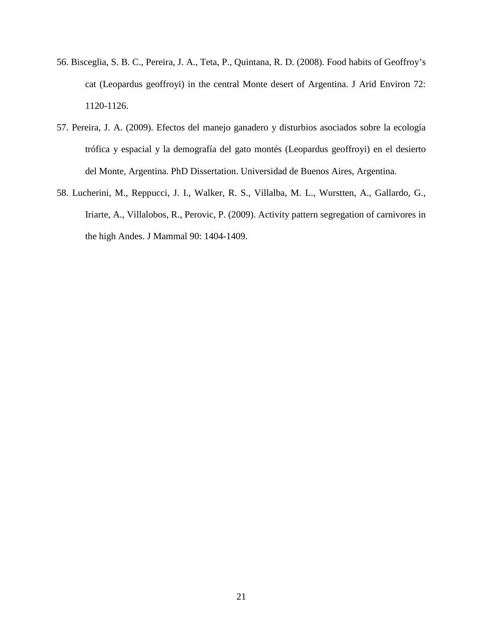- 56. Bisceglia, S. B. C., Pereira, J. A., Teta, P., Quintana, R. D. (2008). Food habits of Geoffroy's cat (Leopardus geoffroyi) in the central Monte desert of Argentina. J Arid Environ 72: 1120-1126.
- 57. Pereira, J. A. (2009). Efectos del manejo ganadero y disturbios asociados sobre la ecología trófica y espacial y la demografía del gato montés (Leopardus geoffroyi) en el desierto del Monte, Argentina. PhD Dissertation. Universidad de Buenos Aires, Argentina.
- 58. Lucherini, M., Reppucci, J. I., Walker, R. S., Villalba, M. L., Wurstten, A., Gallardo, G., Iriarte, A., Villalobos, R., Perovic, P. (2009). Activity pattern segregation of carnivores in the high Andes. J Mammal 90: 1404-1409.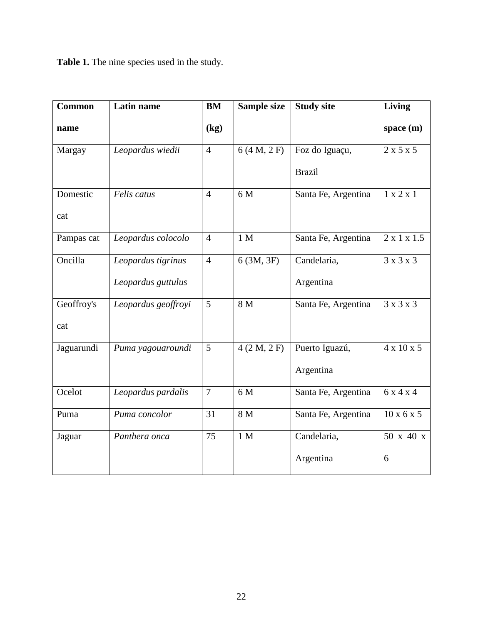**Table 1.** The nine species used in the study.

| <b>Common</b> | Latin name          | BM              | <b>Sample size</b> | <b>Study site</b>   | Living                  |
|---------------|---------------------|-----------------|--------------------|---------------------|-------------------------|
| name          |                     | (kg)            |                    |                     | space $(m)$             |
| Margay        | Leopardus wiedii    | $\overline{4}$  | 6(4 M, 2 F)        | Foz do Iguaçu,      | $2 \times 5 \times 5$   |
|               |                     |                 |                    | <b>Brazil</b>       |                         |
| Domestic      | Felis catus         | $\overline{4}$  | 6 M                | Santa Fe, Argentina | 1 x 2 x 1               |
| cat           |                     |                 |                    |                     |                         |
| Pampas cat    | Leopardus colocolo  | $\overline{4}$  | 1 <sub>M</sub>     | Santa Fe, Argentina | $2 \times 1 \times 1.5$ |
| Oncilla       | Leopardus tigrinus  | $\overline{4}$  | 6(3M, 3F)          | Candelaria,         | $3 \times 3 \times 3$   |
|               | Leopardus guttulus  |                 |                    | Argentina           |                         |
| Geoffroy's    | Leopardus geoffroyi | $\overline{5}$  | 8 <sub>M</sub>     | Santa Fe, Argentina | 3x3x3                   |
| cat           |                     |                 |                    |                     |                         |
| Jaguarundi    | Puma yagouaroundi   | 5               | 4(2 M, 2 F)        | Puerto Iguazú,      | $4 \times 10 \times 5$  |
|               |                     |                 |                    | Argentina           |                         |
| Ocelot        | Leopardus pardalis  | $\overline{7}$  | 6 M                | Santa Fe, Argentina | 6x4x4                   |
| Puma          | Puma concolor       | $\overline{31}$ | 8 <sub>M</sub>     | Santa Fe, Argentina | $10 \times 6 \times 5$  |
| Jaguar        | Panthera onca       | 75              | 1 <sub>M</sub>     | Candelaria,         | 50 x 40 x               |
|               |                     |                 |                    | Argentina           | 6                       |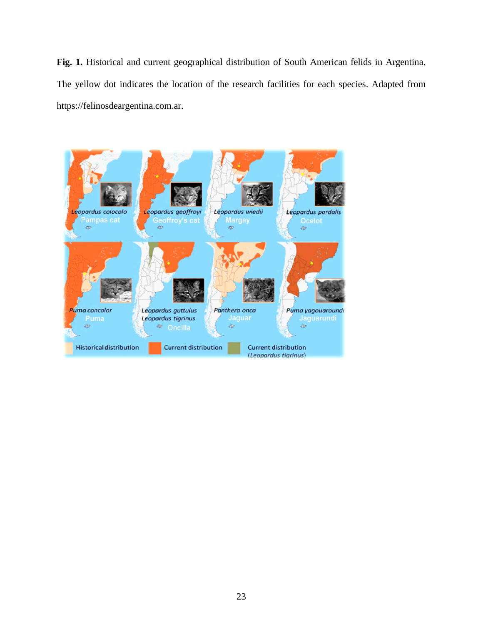**Fig. 1.** Historical and current geographical distribution of South American felids in Argentina. The yellow dot indicates the location of the research facilities for each species. Adapted from https://felinosdeargentina.com.ar.

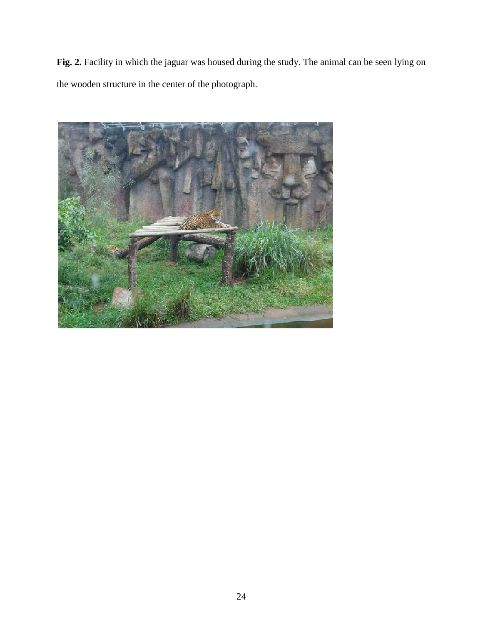**Fig. 2.** Facility in which the jaguar was housed during the study. The animal can be seen lying on the wooden structure in the center of the photograph.

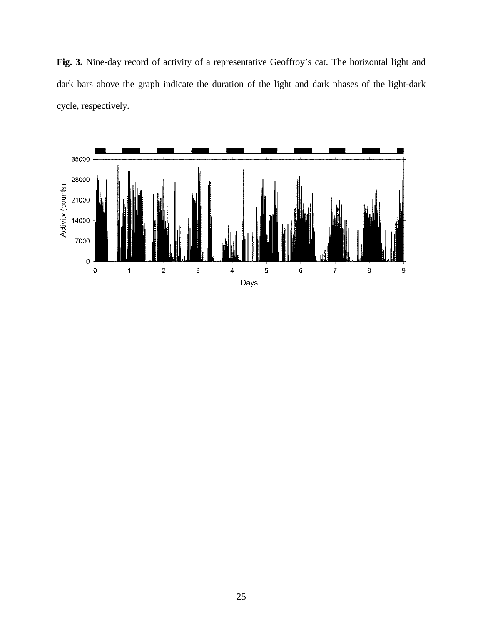**Fig. 3.** Nine-day record of activity of a representative Geoffroy's cat. The horizontal light and dark bars above the graph indicate the duration of the light and dark phases of the light-dark cycle, respectively.

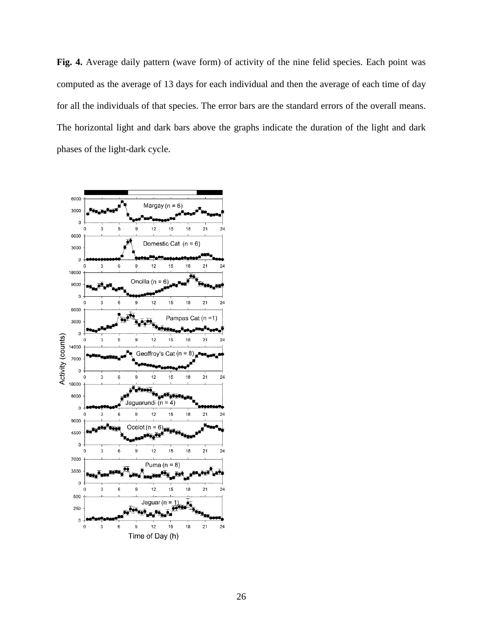**Fig. 4.** Average daily pattern (wave form) of activity of the nine felid species. Each point was computed as the average of 13 days for each individual and then the average of each time of day for all the individuals of that species. The error bars are the standard errors of the overall means. The horizontal light and dark bars above the graphs indicate the duration of the light and dark phases of the light-dark cycle.